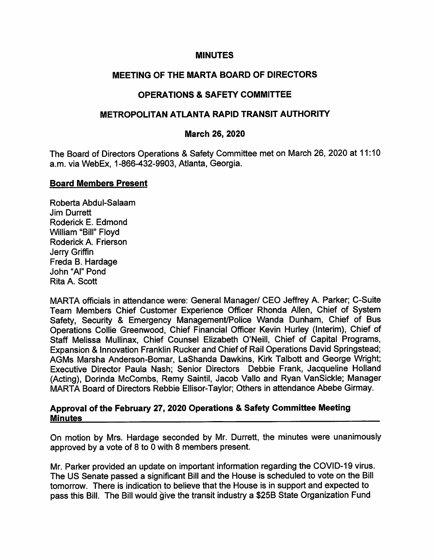#### MINUTES

# MEETING OF THE MARTA BOARD OF DIRECTORS

# OPERATIONS & SAFETY COMMITTEE

## METROPOLITAN ATLANTA RAPID TRANSIT AUTHORITY

### March 26, 2020

The Board of Directors Operations & Safety Committee met on March 26, 2020 at 11:10 a.m. via WebEx, 1-866-432-9903, Atlanta, Georgia.

#### Board Members Present

Roberta Abdul-Salaam Jim Durrett Roderick E. Edmond William "Bill" Floyd Roderick A. Frierson Jerry Griffin Freda B. Hardage John "Al" Pond Rita A. Scott

MARTA officials in attendance were: General Manager/ CEO Jeffrey A. Parker; C-Suite Team Members Chief Customer Experience Officer Rhonda Allen, Chief of System Safety, Security & Emergency Management/Police Wanda Dunham, Chief of Bus Operations Collie Greenwood, Chief Financial Officer Kevin Hurley (Interim), Chief of Staff Melissa Mullinax, Chief Counsel Elizabeth O'Neill, Chief of Capital Programs, Expansion & Innovation Franklin Ruckerand Chief of Rail Operations David Springstead; AGMs Marsha Anderson-Bomar, LaShanda Dawkins, Kirk Talbott and George Wright; Executive Director Paula Nash; Senior Directors Debbie Frank, Jacqueline Holland (Acting), Dorinda McCombs, Remy Saintil, Jacob Vallo and Ryan VanSickle; Manager MARTA Board of Directors Rebbie Ellisor-Taylor; Others in attendance Abebe Girmay.

#### Approval of the February 27, 2020 Operations & Safety Committee Meeting **Minutes**

On motion by Mrs. Hardage seconded by Mr. Durrett, the minutes were unanimously approved by a vote of 8 to 0 with 8 members present.

Mr. Parker provided an update on important information regarding the COVID-19 virus. The US Senate passed a significant Bill and the House is scheduled to vote on the Bill tomorrow. There is indication to believe that the House is in support and expected to pass this Bill. The Bill would give the transit industry a \$25B State Organization Fund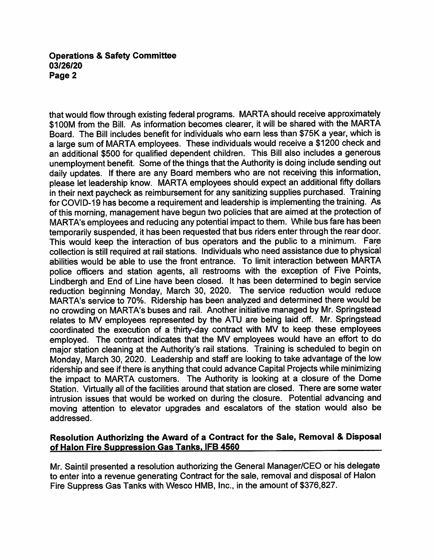that would flow through existing federal programs. MARTA should receive approximately \$100M from the Bill. As information becomes clearer, it will be shared with the MARTA Board. The Bill includes benefit for individuals who earn less than \$75K a year, which is a large sum of MARTA employees. These individuals would receive a \$1200 check and an additional \$500 for qualified dependent children. This Bill also includes a generous unemployment benefit. Some of the things that the Authority is doing include sending out daily updates. If there are any Board members who are not receiving this information, please let leadership know. MARTA employees should expect an additional fifty dollars in their next paycheck as reimbursement for any sanitizing supplies purchased. Training for COVID-19 has become a requirement and leadership is implementing the training. As of this morning, management have begun two policies that are aimed at the protection of MARTA's employees and reducing any potential impact to them. While bus fare has been temporarily suspended, it has been requested that bus riders enter through the rear door. This would keep the interaction of bus operators and the public to a minimum. Fare collection is still required at rail stations. Individuals who need assistance due to physical abilities would be able to use the front entrance. To limit interaction between MARTA police officers and station agents, all restrooms with the exception of Five Points, Lindbergh and End of Line have been closed. It has been determined to begin service reduction beginning Monday, March 30, 2020. The service reduction would reduce MARTA's service to 70%. Ridership has been analyzed and determined there would be no crowding on MARTA's buses and rail. Another initiative managed by Mr. Springstead relates to MV employees represented by the ATU are being laid off. Mr. Springstead coordinated the execution of a thirty-day contract with MV to keep these employees employed. The contract indicates that the MV employees would have an effort to do major station cleaning at the Authority's rail stations. Training is scheduled to begin on Monday, March 30, 2020. Leadership and staff are looking to take advantage of the low ridership and see if there is anything that could advance Capital Projects while minimizing the impact to MARTA customers. The Authority is looking at a closure of the Dome Station. Virtually all of the facilities around that station are closed. There are some water intrusion issues that would be worked on during the closure. Potential advancing and moving attention to elevator upgrades and escalators of the station would also be addressed.

## Resolution Authorizing the Award of a Contract for the Sale, Removal & Disposal of Halon Fire Suppression Gas Tanks. IFB 4560

Mr. Saintil presented a resolution authorizing the General Manager/CEO or his delegate to enter into a revenue generating Contract for the sale, removal and disposal of Halon Fire Suppress Gas Tanks with Wesco HMB, Inc., in the amount of \$376,827.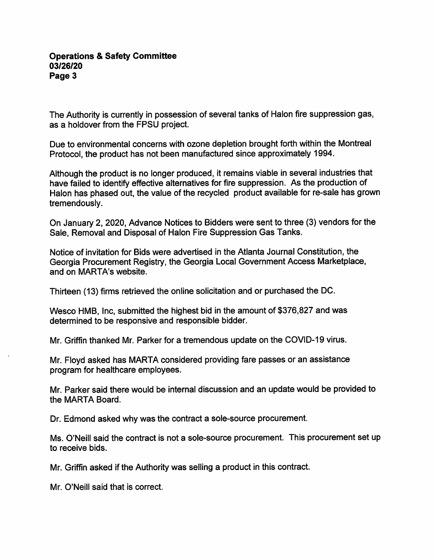The Authority is currently in possession of several tanks of Halon fire suppression gas, as a holdover from the FPSU project.

Due to environmental concerns with ozone depletion brought forth within the Montreal Protocol, the product has not been manufactured since approximately 1994.

Although the product is no longer produced, it remains viable in several industries that have failed to identify effective alternatives for fire suppression. As the production of Halon has phased out, the value of the recycled product available for re-sale has grown tremendously.

On January 2, 2020, Advance Notices to Bidders were sent to three (3) vendors for the Sale, Removal and Disposal of Halon Fire Suppression Gas Tanks.

Notice of invitation for Bids were advertised in the Atlanta Journal Constitution, the Georgia Procurement Registry, the Georgia Local Government Access Marketplace, and on MARTA's website.

Thirteen (13) firms retrieved the online solicitation and or purchased the DC.

Wesco HMB, Inc, submitted the highest bid in the amount of \$376,827 and was determined to be responsive and responsible bidder.

Mr. Griffin thanked Mr. Parker for a tremendous update on the COVID-19 virus.

Mr. Floyd asked has MARTA considered providing fare passes or an assistance program for healthcare employees.

Mr. Parker said there would be internal discussion and an update would be provided to the MARTA Board.

Dr. Edmond asked why was the contract a sole-source procurement.

Ms. O'Neill said the contract is not a sole-source procurement. This procurement set up to receive bids.

Mr. Griffin asked if the Authority was selling a product in this contract.

Mr. O'Neill said that is correct.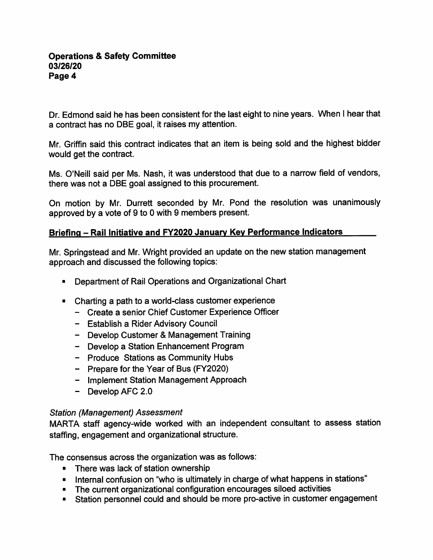Dr. Edmond said he has been consistent for the last eight to nine years. When I hear that a contract has no DBE goal, it raises my attention.

Mr. Griffin said this contract indicates that an item is being sold and the highest bidder would get the contract.

Ms. O'Neill said per Ms. Nash, it was understood that due to a narrow field of vendors, there was not a DBE goal assigned to this procurement.

On motion by Mr. Durrett seconded by Mr. Pond the resolution was unanimously approved by a vote of 9 to 0 with 9 members present.

# Briefing - Rail Initiative and FY2020 January Key Performance Indicators

Mr. Springstead and Mr. Wright provided an update on the new station management approach and discussed the following topics:

- Department of Rail Operations and Organizational Chart
- Charting a path to a world-class customer experience
	- Create a senior Chief Customer Experience Officer
	- Establish a Rider Advisory Council
	- Develop Customer & Management Training
	- Develop a Station Enhancement Program
	- Produce Stations as Community Hubs
	- Prepare for the Year of Bus (FY2020)
	- Implement Station Management Approach
	- Develop AFC 2.0

## Station (Management) Assessment

MARTA staff agency-wide worked with an independent consultant to assess station staffing, engagement and organizational structure.

The consensus across the organization was as follows:

- There was lack of station ownership
- Internal confusion on "who is ultimately in charge of what happens in stations"
- The current organizational configuration encourages siloed activities
- Station personnel could and should be more pro-active in customer engagement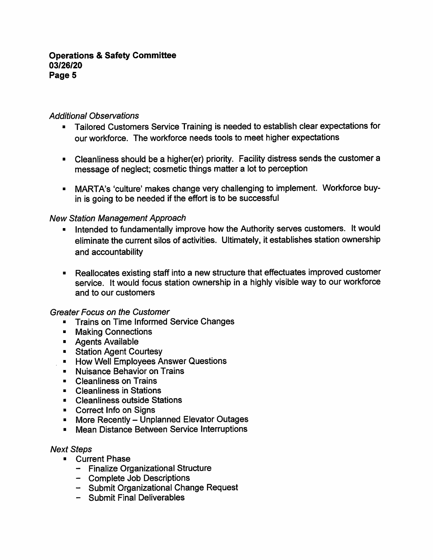## Additional Observations

- Tailored Customers Service Training is needed to establish clear expectations for our workforce. The workforce needs tools to meet higher expectations
- Cleanliness should be a higher(er) priority. Facility distress sends the customer a message of neglect; cosmetic things matter a lot to perception
- MARTA's 'culture' makes change very challenging to implement. Workforce buyin is going to be needed if the effort is to be successful

# New Station Management Approach

- Intended to fundamentally improve how the Authority serves customers. It would eliminate the current silos of activities. Ultimately, it establishes station ownership and accountability
- Reallocates existing staff into a new structure that effectuates improved customer service. It would focus station ownership in a highly visible way to our workforce and to our customers

## Greater Focus on the Customer

- **Trains on Time Informed Service Changes**
- **E** Making Connections
- **Agents Available**
- **Station Agent Courtesy**
- **E** How Well Employees Answer Questions
- **Nuisance Behavior on Trains**
- Cleanliness on Trains
- **E** Cleanliness in Stations
- Cleanliness outside Stations
- **EXECORDER CORRECT** Correct Info on Signs
- **More Recently Unplanned Elevator Outages**
- **Mean Distance Between Service Interruptions**

## Next Steps

- Current Phase
	- Finalize Organizational Structure
	- Complete Job Descriptions
	- Submit Organizational Change Request
	- Submit Final Deliverables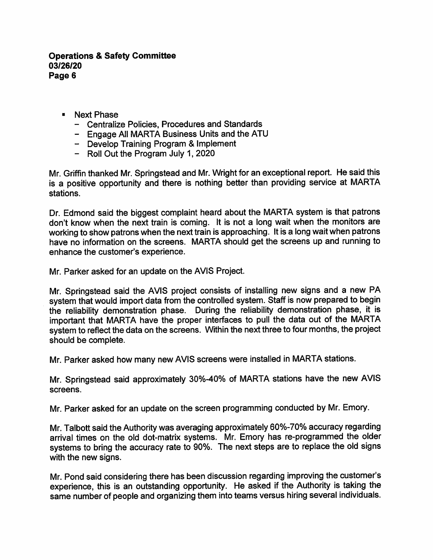- Next Phase
	- Centralize Policies, Procedures and Standards
	- Engage All MARTA Business Units and the ATU
	- Develop Training Program & Implement
	- Roll Out the Program July 1, 2020

Mr. Griffin thanked Mr. Springstead and Mr. Wright for an exceptional report. He said this is a positive opportunity and there is nothing better than providing service at MARTA stations.

Dr. Edmond said the biggest complaint heard about the MARTA system is that patrons don't know when the next train is coming. It is not a long wait when the monitors are working to show patrons when the next train is approaching. It is a long wait when patrons have no information on the screens. MARTA should get the screens up and running to enhance the customer's experience.

Mr. Parker asked for an update on the AVIS Project.

Mr. Springstead said the AVIS project consists of installing new signs and a new PA system that would import data from the controlled system. Staff is now prepared to begin the reliability demonstration phase. During the reliability demonstration phase, it is important that MARTA have the proper interfaces to pull the data out of the MARTA system to reflect the data on the screens. Within the next three to four months, the project should be complete.

Mr. Parker asked how many new AVIS screens were installed in MARTA stations.

Mr. Springstead said approximately 30%-40% of MARTA stations have the new AVIS screens.

Mr. Parker asked for an update on the screen programming conducted by Mr. Emory.

Mr. Talbott said the Authority was averaging approximately 60%-70% accuracy regarding arrival times on the old dot-matrix systems. Mr. Emory has re-programmed the older systems to bring the accuracy rate to 90%. The next steps are to replace the old signs with the new signs.

Mr. Pond said considering there has been discussion regarding improving the customer's experience, this is an outstanding opportunity. He asked if the Authority is taking the same number of people and organizing them into teams versus hiring several individuals.